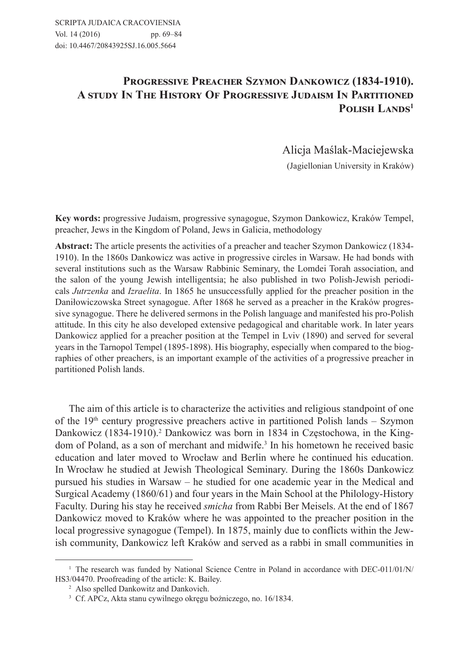# PROGRESSIVE PREACHER SZYMON DANKOWICZ (1834-1910). A STUDY IN THE HISTORY OF PROGRESSIVE JUDAISM IN PARTITIONED POLISH LANDS<sup>1</sup>

Alicja Maślak-Maciejewska

(Jagiellonian University in Kraków)

**Key words:** progressive Judaism, progressive synagogue, Szymon Dankowicz, Kraków Tempel, preacher, Jews in the Kingdom of Poland, Jews in Galicia, methodology

**Abstract:** The article presents the activities of a preacher and teacher Szymon Dankowicz (1834- 1910). In the 1860s Dankowicz was active in progressive circles in Warsaw. He had bonds with several institutions such as the Warsaw Rabbinic Seminary, the Lomdei Torah association, and the salon of the young Jewish intelligentsia; he also published in two Polish-Jewish periodicals *Jutrzenka* and *Izraelita*. In 1865 he unsuccessfully applied for the preacher position in the Daniłowiczowska Street synagogue. After 1868 he served as a preacher in the Kraków progressive synagogue. There he delivered sermons in the Polish language and manifested his pro-Polish attitude. In this city he also developed extensive pedagogical and charitable work. In later years Dankowicz applied for a preacher position at the Tempel in Lviv (1890) and served for several years in the Tarnopol Tempel (1895-1898). His biography, especially when compared to the biographies of other preachers, is an important example of the activities of a progressive preacher in partitioned Polish lands.

The aim of this article is to characterize the activities and religious standpoint of one of the  $19<sup>th</sup>$  century progressive preachers active in partitioned Polish lands – Szymon Dankowicz (1834-1910).<sup>2</sup> Dankowicz was born in 1834 in Częstochowa, in the Kingdom of Poland, as a son of merchant and midwife.3 In his hometown he received basic education and later moved to Wrocław and Berlin where he continued his education. In Wrocław he studied at Jewish Theological Seminary. During the 1860s Dankowicz pursued his studies in Warsaw – he studied for one academic year in the Medical and Surgical Academy (1860/61) and four years in the Main School at the Philology-History Faculty. During his stay he received *smicha* from Rabbi Ber Meisels. At the end of 1867 Dankowicz moved to Kraków where he was appointed to the preacher position in the local progressive synagogue (Tempel). In 1875, mainly due to conflicts within the Jewish community, Dankowicz left Kraków and served as a rabbi in small communities in

<sup>&</sup>lt;sup>1</sup> The research was funded by National Science Centre in Poland in accordance with DEC-011/01/N/ HS3/04470. Proofreading of the article: K. Bailey.

<sup>2</sup> Also spelled Dankowitz and Dankovich.

<sup>3</sup> Cf. APCz, Akta stanu cywilnego okręgu bożniczego, no. 16/1834.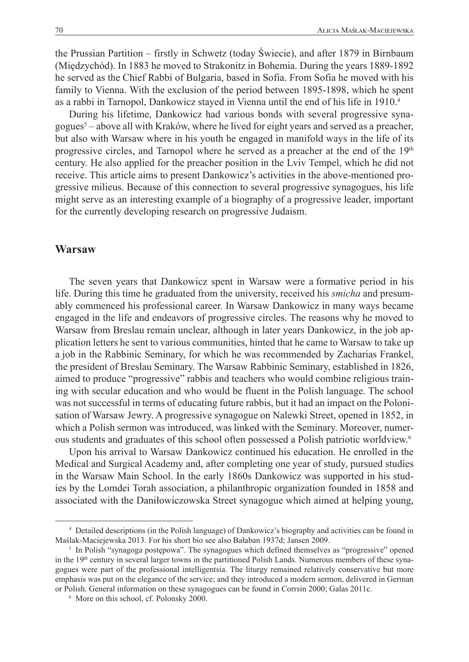the Prussian Partition – firstly in Schwetz (today Świecie), and after 1879 in Birnbaum (Międzychód). In 1883 he moved to Strakonitz in Bohemia. During the years 1889-1892 he served as the Chief Rabbi of Bulgaria, based in Sofia. From Sofia he moved with his family to Vienna. With the exclusion of the period between 1895-1898, which he spent as a rabbi in Tarnopol, Dankowicz stayed in Vienna until the end of his life in 1910.4

During his lifetime, Dankowicz had various bonds with several progressive synagogues5 – above all with Kraków, where he lived for eight years and served as a preacher, but also with Warsaw where in his youth he engaged in manifold ways in the life of its progressive circles, and Tarnopol where he served as a preacher at the end of the 19<sup>th</sup> century. He also applied for the preacher position in the Lviv Tempel, which he did not receive. This article aims to present Dankowicz's activities in the above-mentioned progressive milieus. Because of this connection to several progressive synagogues, his life might serve as an interesting example of a biography of a progressive leader, important for the currently developing research on progressive Judaism.

#### **Warsaw**

The seven years that Dankowicz spent in Warsaw were a formative period in his life. During this time he graduated from the university, received his *smicha* and presumably commenced his professional career. In Warsaw Dankowicz in many ways became engaged in the life and endeavors of progressive circles. The reasons why he moved to Warsaw from Breslau remain unclear, although in later years Dankowicz, in the job application letters he sent to various communities, hinted that he came to Warsaw to take up a job in the Rabbinic Seminary, for which he was recommended by Zacharias Frankel, the president of Breslau Seminary. The Warsaw Rabbinic Seminary, established in 1826, aimed to produce "progressive" rabbis and teachers who would combine religious training with secular education and who would be fluent in the Polish language. The school was not successful in terms of educating future rabbis, but it had an impact on the Polonisation of Warsaw Jewry. A progressive synagogue on Nalewki Street, opened in 1852, in which a Polish sermon was introduced, was linked with the Seminary. Moreover, numerous students and graduates of this school often possessed a Polish patriotic worldview.6

Upon his arrival to Warsaw Dankowicz continued his education. He enrolled in the Medical and Surgical Academy and, after completing one year of study, pursued studies in the Warsaw Main School. In the early 1860s Dankowicz was supported in his studies by the Lomdei Torah association, a philanthropic organization founded in 1858 and associated with the Daniłowiczowska Street synagogue which aimed at helping young,

<sup>4</sup> Detailed descriptions (in the Polish language) of Dankowicz's biography and activities can be found in Maślak-Maciejewska 2013. For his short bio see also Bałaban 1937d; Jansen 2009.

<sup>&</sup>lt;sup>5</sup> In Polish "synagoga postępowa". The synagogues which defined themselves as "progressive" opened in the 19<sup>th</sup> century in several larger towns in the partitioned Polish Lands. Numerous members of these synagogues were part of the professional intelligentsia. The liturgy remained relatively conservative but more emphasis was put on the elegance of the service; and they introduced a modern sermon, delivered in German or Polish. General information on these synagogues can be found in Corrsin 2000; Galas 2011c.

<sup>6</sup> More on this school, cf. Polonsky 2000.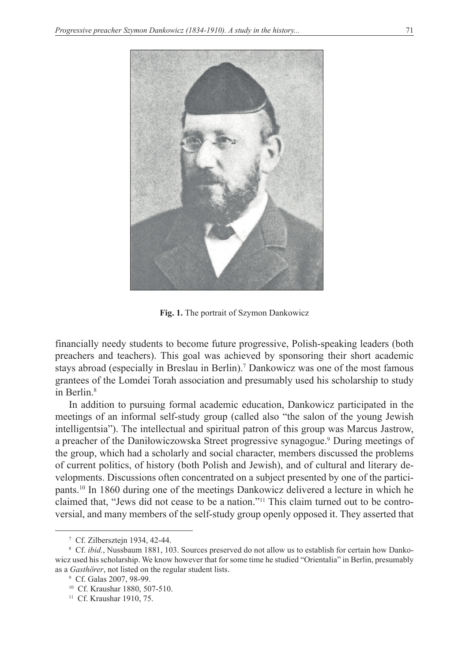

**Fig. 1.** The portrait of Szymon Dankowicz

financially needy students to become future progressive, Polish-speaking leaders (both preachers and teachers). This goal was achieved by sponsoring their short academic stays abroad (especially in Breslau in Berlin).7 Dankowicz was one of the most famous grantees of the Lomdei Torah association and presumably used his scholarship to study in Berlin.8

In addition to pursuing formal academic education, Dankowicz participated in the meetings of an informal self-study group (called also "the salon of the young Jewish intelligentsia"). The intellectual and spiritual patron of this group was Marcus Jastrow, a preacher of the Daniłowiczowska Street progressive synagogue.<sup>9</sup> During meetings of the group, which had a scholarly and social character, members discussed the problems of current politics, of history (both Polish and Jewish), and of cultural and literary developments. Discussions often concentrated on a subject presented by one of the participants.10 In 1860 during one of the meetings Dankowicz delivered a lecture in which he claimed that, "Jews did not cease to be a nation."11 This claim turned out to be controversial, and many members of the self-study group openly opposed it. They asserted that

<sup>7</sup> Cf. Zilbersztejn 1934, 42-44.

<sup>&</sup>lt;sup>8</sup> Cf. *ibid.*, Nussbaum 1881, 103. Sources preserved do not allow us to establish for certain how Dankowicz used his scholarship. We know however that for some time he studied "Orientalia" in Berlin, presumably as a *Gasthörer*, not listed on the regular student lists.

<sup>9</sup> Cf. Galas 2007, 98-99.

<sup>10</sup> Cf. Kraushar 1880, 507-510.

<sup>&</sup>lt;sup>11</sup> Cf. Kraushar 1910, 75.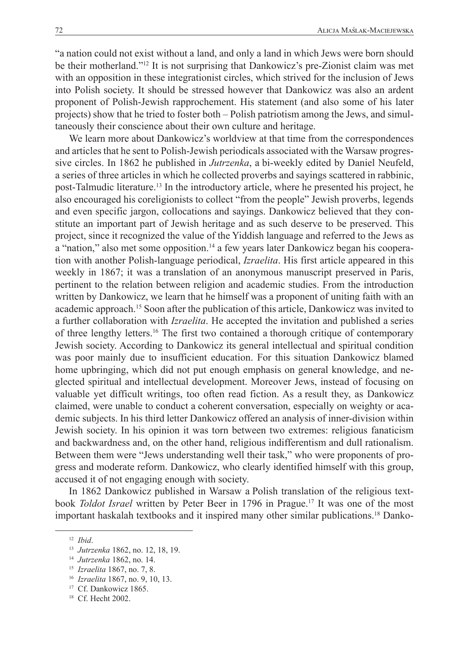"a nation could not exist without a land, and only a land in which Jews were born should be their motherland."12 It is not surprising that Dankowicz's pre-Zionist claim was met with an opposition in these integrationist circles, which strived for the inclusion of Jews into Polish society. It should be stressed however that Dankowicz was also an ardent proponent of Polish-Jewish rapprochement. His statement (and also some of his later projects) show that he tried to foster both – Polish patriotism among the Jews, and simultaneously their conscience about their own culture and heritage.

We learn more about Dankowicz's worldview at that time from the correspondences and articles that he sent to Polish-Jewish periodicals associated with the Warsaw progressive circles. In 1862 he published in *Jutrzenka*, a bi-weekly edited by Daniel Neufeld, a series of three articles in which he collected proverbs and sayings scattered in rabbinic, post-Talmudic literature.13 In the introductory article, where he presented his project, he also encouraged his coreligionists to collect "from the people" Jewish proverbs, legends and even specific jargon, collocations and sayings. Dankowicz believed that they constitute an important part of Jewish heritage and as such deserve to be preserved. This project, since it recognized the value of the Yiddish language and referred to the Jews as a "nation," also met some opposition.<sup>14</sup> a few years later Dankowicz began his cooperation with another Polish-language periodical, *Izraelita*. His first article appeared in this weekly in 1867; it was a translation of an anonymous manuscript preserved in Paris, pertinent to the relation between religion and academic studies. From the introduction written by Dankowicz, we learn that he himself was a proponent of uniting faith with an academic approach.15 Soon after the publication of this article, Dankowicz was invited to a further collaboration with *Izraelita*. He accepted the invitation and published a series of three lengthy letters.16 The first two contained a thorough critique of contemporary Jewish society. According to Dankowicz its general intellectual and spiritual condition was poor mainly due to insufficient education. For this situation Dankowicz blamed home upbringing, which did not put enough emphasis on general knowledge, and neglected spiritual and intellectual development. Moreover Jews, instead of focusing on valuable yet difficult writings, too often read fiction. As a result they, as Dankowicz claimed, were unable to conduct a coherent conversation, especially on weighty or academic subjects. In his third letter Dankowicz offered an analysis of inner-division within Jewish society. In his opinion it was torn between two extremes: religious fanaticism and backwardness and, on the other hand, religious indifferentism and dull rationalism. Between them were "Jews understanding well their task," who were proponents of progress and moderate reform. Dankowicz, who clearly identified himself with this group, accused it of not engaging enough with society.

In 1862 Dankowicz published in Warsaw a Polish translation of the religious textbook *Toldot Israel* written by Peter Beer in 1796 in Prague.17 It was one of the most important haskalah textbooks and it inspired many other similar publications.18 Danko-

<sup>17</sup> Cf. Dankowicz 1865. <sup>18</sup> Cf. Hecht 2002.

<sup>12</sup> *Ibid*.

<sup>13</sup> *Jutrzenka* 1862, no. 12, 18, 19.

<sup>14</sup> *Jutrzenka* 1862, no. 14.

<sup>15</sup> *Izraelita* 1867, no. 7, 8.

<sup>16</sup> *Izraelita* 1867, no. 9, 10, 13.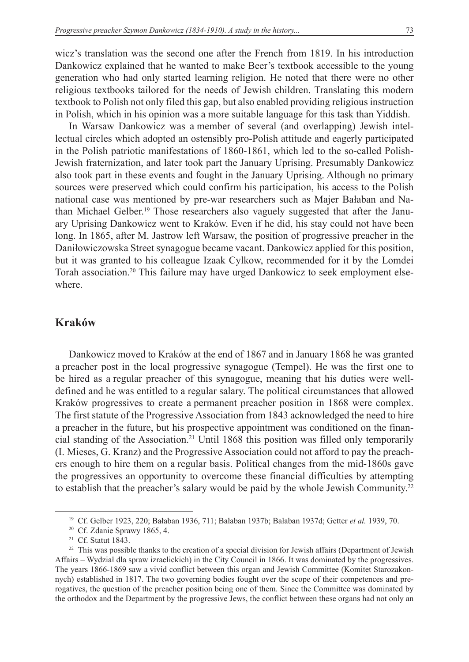wicz's translation was the second one after the French from 1819. In his introduction Dankowicz explained that he wanted to make Beer's textbook accessible to the young generation who had only started learning religion. He noted that there were no other religious textbooks tailored for the needs of Jewish children. Translating this modern textbook to Polish not only filed this gap, but also enabled providing religious instruction in Polish, which in his opinion was a more suitable language for this task than Yiddish.

In Warsaw Dankowicz was a member of several (and overlapping) Jewish intellectual circles which adopted an ostensibly pro-Polish attitude and eagerly participated in the Polish patriotic manifestations of 1860-1861, which led to the so-called Polish-Jewish fraternization, and later took part the January Uprising. Presumably Dankowicz also took part in these events and fought in the January Uprising. Although no primary sources were preserved which could confirm his participation, his access to the Polish national case was mentioned by pre-war researchers such as Majer Bałaban and Nathan Michael Gelber.19 Those researchers also vaguely suggested that after the January Uprising Dankowicz went to Kraków. Even if he did, his stay could not have been long. In 1865, after M. Jastrow left Warsaw, the position of progressive preacher in the Daniłowiczowska Street synagogue became vacant. Dankowicz applied for this position, but it was granted to his colleague Izaak Cylkow, recommended for it by the Lomdei Torah association.20 This failure may have urged Dankowicz to seek employment elsewhere.

#### **Kraków**

Dankowicz moved to Kraków at the end of 1867 and in January 1868 he was granted a preacher post in the local progressive synagogue (Tempel). He was the first one to be hired as a regular preacher of this synagogue, meaning that his duties were welldefined and he was entitled to a regular salary. The political circumstances that allowed Kraków progressives to create a permanent preacher position in 1868 were complex. The first statute of the Progressive Association from 1843 acknowledged the need to hire a preacher in the future, but his prospective appointment was conditioned on the financial standing of the Association.21 Until 1868 this position was filled only temporarily (I. Mieses, G. Kranz) and the Progressive Association could not afford to pay the preachers enough to hire them on a regular basis. Political changes from the mid-1860s gave the progressives an opportunity to overcome these financial difficulties by attempting to establish that the preacher's salary would be paid by the whole Jewish Community.<sup>22</sup>

<sup>19</sup> Cf. Gelber 1923, 220; Bałaban 1936, 711; Bałaban 1937b; Bałaban 1937d; Getter *et al.* 1939, 70.

<sup>20</sup> Cf. Zdanie Sprawy 1865, 4.

<sup>&</sup>lt;sup>21</sup> Cf. Statut 1843.

<sup>&</sup>lt;sup>22</sup> This was possible thanks to the creation of a special division for Jewish affairs (Department of Jewish Affairs – Wydział dla spraw izraelickich) in the City Council in 1866. It was dominated by the progressives. The years 1866-1869 saw a vivid conflict between this organ and Jewish Committee (Komitet Starozakonnych) established in 1817. The two governing bodies fought over the scope of their competences and prerogatives, the question of the preacher position being one of them. Since the Committee was dominated by the orthodox and the Department by the progressive Jews, the conflict between these organs had not only an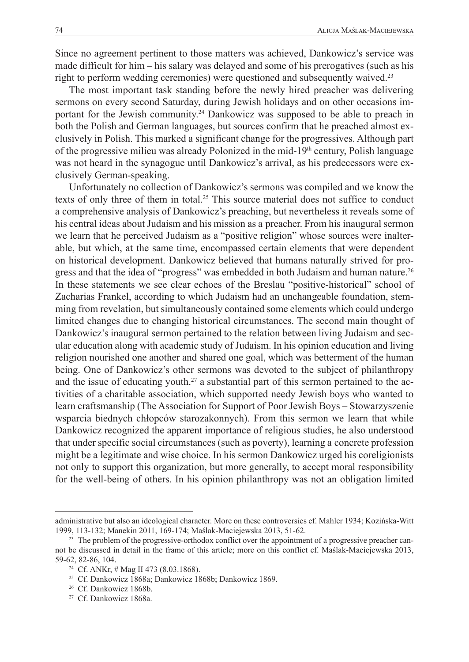Since no agreement pertinent to those matters was achieved, Dankowicz's service was made difficult for him – his salary was delayed and some of his prerogatives (such as his right to perform wedding ceremonies) were questioned and subsequently waived.<sup>23</sup>

The most important task standing before the newly hired preacher was delivering sermons on every second Saturday, during Jewish holidays and on other occasions important for the Jewish community.<sup>24</sup> Dankowicz was supposed to be able to preach in both the Polish and German languages, but sources confirm that he preached almost exclusively in Polish. This marked a significant change for the progressives. Although part of the progressive milieu was already Polonized in the mid-19<sup>th</sup> century, Polish language was not heard in the synagogue until Dankowicz's arrival, as his predecessors were exclusively German-speaking.

Unfortunately no collection of Dankowicz's sermons was compiled and we know the texts of only three of them in total.<sup>25</sup> This source material does not suffice to conduct a comprehensive analysis of Dankowicz's preaching, but nevertheless it reveals some of his central ideas about Judaism and his mission as a preacher. From his inaugural sermon we learn that he perceived Judaism as a "positive religion" whose sources were inalterable, but which, at the same time, encompassed certain elements that were dependent on historical development. Dankowicz believed that humans naturally strived for progress and that the idea of "progress" was embedded in both Judaism and human nature.26 In these statements we see clear echoes of the Breslau "positive-historical" school of Zacharias Frankel, according to which Judaism had an unchangeable foundation, stemming from revelation, but simultaneously contained some elements which could undergo limited changes due to changing historical circumstances. The second main thought of Dankowicz's inaugural sermon pertained to the relation between living Judaism and secular education along with academic study of Judaism. In his opinion education and living religion nourished one another and shared one goal, which was betterment of the human being. One of Dankowicz's other sermons was devoted to the subject of philanthropy and the issue of educating youth.<sup>27</sup> a substantial part of this sermon pertained to the activities of a charitable association, which supported needy Jewish boys who wanted to learn craftsmanship (The Association for Support of Poor Jewish Boys – Stowarzyszenie wsparcia biednych chłopców starozakonnych). From this sermon we learn that while Dankowicz recognized the apparent importance of religious studies, he also understood that under specific social circumstances (such as poverty), learning a concrete profession might be a legitimate and wise choice. In his sermon Dankowicz urged his coreligionists not only to support this organization, but more generally, to accept moral responsibility for the well-being of others. In his opinion philanthropy was not an obligation limited

administrative but also an ideological character. More on these controversies cf. Mahler 1934; Kozińska-Witt 1999, 113-132; Manekin 2011, 169-174; Maślak-Maciejewska 2013, 51-62.

<sup>&</sup>lt;sup>23</sup> The problem of the progressive-orthodox conflict over the appointment of a progressive preacher cannot be discussed in detail in the frame of this article; more on this conflict cf. Maślak-Maciejewska 2013, 59-62, 82-86, 104.

<sup>&</sup>lt;sup>24</sup> Cf. ANKr, # Mag II 473 (8.03.1868).

<sup>25</sup> Cf. Dankowicz 1868a; Dankowicz 1868b; Dankowicz 1869.

<sup>26</sup> Cf. Dankowicz 1868b.

<sup>&</sup>lt;sup>27</sup> Cf. Dankowicz 1868a.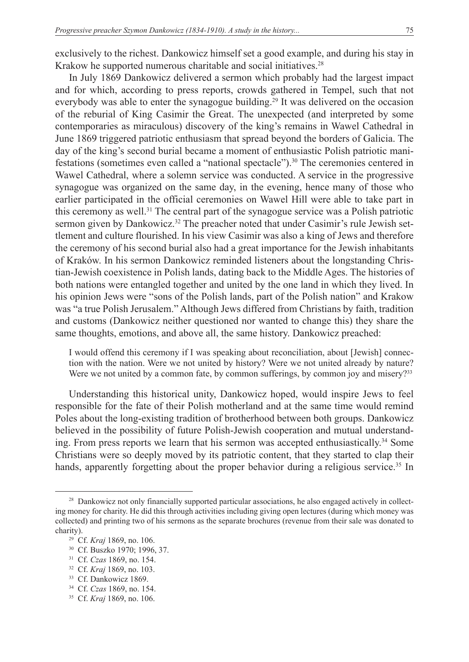exclusively to the richest. Dankowicz himself set a good example, and during his stay in Krakow he supported numerous charitable and social initiatives.<sup>28</sup>

In July 1869 Dankowicz delivered a sermon which probably had the largest impact and for which, according to press reports, crowds gathered in Tempel, such that not everybody was able to enter the synagogue building.<sup>29</sup> It was delivered on the occasion of the reburial of King Casimir the Great. The unexpected (and interpreted by some contemporaries as miraculous) discovery of the king's remains in Wawel Cathedral in June 1869 triggered patriotic enthusiasm that spread beyond the borders of Galicia. The day of the king's second burial became a moment of enthusiastic Polish patriotic manifestations (sometimes even called a "national spectacle").<sup>30</sup> The ceremonies centered in Wawel Cathedral, where a solemn service was conducted. A service in the progressive synagogue was organized on the same day, in the evening, hence many of those who earlier participated in the official ceremonies on Wawel Hill were able to take part in this ceremony as well.31 The central part of the synagogue service was a Polish patriotic sermon given by Dankowicz.<sup>32</sup> The preacher noted that under Casimir's rule Jewish settlement and culture flourished. In his view Casimir was also a king of Jews and therefore the ceremony of his second burial also had a great importance for the Jewish inhabitants of Kraków. In his sermon Dankowicz reminded listeners about the longstanding Christian-Jewish coexistence in Polish lands, dating back to the Middle Ages. The histories of both nations were entangled together and united by the one land in which they lived. In his opinion Jews were "sons of the Polish lands, part of the Polish nation" and Krakow was "a true Polish Jerusalem." Although Jews differed from Christians by faith, tradition and customs (Dankowicz neither questioned nor wanted to change this) they share the same thoughts, emotions, and above all, the same history. Dankowicz preached:

I would offend this ceremony if I was speaking about reconciliation, about [Jewish] connection with the nation. Were we not united by history? Were we not united already by nature? Were we not united by a common fate, by common sufferings, by common joy and misery?<sup>33</sup>

Understanding this historical unity, Dankowicz hoped, would inspire Jews to feel responsible for the fate of their Polish motherland and at the same time would remind Poles about the long-existing tradition of brotherhood between both groups. Dankowicz believed in the possibility of future Polish-Jewish cooperation and mutual understanding. From press reports we learn that his sermon was accepted enthusiastically.<sup>34</sup> Some Christians were so deeply moved by its patriotic content, that they started to clap their hands, apparently forgetting about the proper behavior during a religious service.<sup>35</sup> In

<sup>&</sup>lt;sup>28</sup> Dankowicz not only financially supported particular associations, he also engaged actively in collecting money for charity. He did this through activities including giving open lectures (during which money was collected) and printing two of his sermons as the separate brochures (revenue from their sale was donated to charity).

<sup>29</sup> Cf. *Kraj* 1869, no. 106.

<sup>30</sup> Cf. Buszko 1970; 1996, 37.

<sup>31</sup> Cf. *Czas* 1869, no. 154.

<sup>32</sup> Cf. *Kraj* 1869, no. 103.

<sup>&</sup>lt;sup>33</sup> Cf. Dankowicz 1869.

<sup>34</sup> Cf. *Czas* 1869, no. 154.

<sup>35</sup> Cf. *Kraj* 1869, no. 106.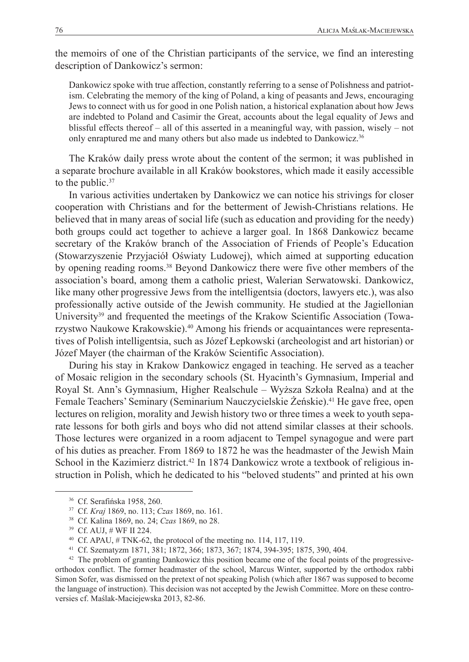the memoirs of one of the Christian participants of the service, we find an interesting description of Dankowicz's sermon:

Dankowicz spoke with true affection, constantly referring to a sense of Polishness and patriotism. Celebrating the memory of the king of Poland, a king of peasants and Jews, encouraging Jews to connect with us for good in one Polish nation, a historical explanation about how Jews are indebted to Poland and Casimir the Great, accounts about the legal equality of Jews and blissful effects thereof – all of this asserted in a meaningful way, with passion, wisely – not only enraptured me and many others but also made us indebted to Dankowicz.<sup>36</sup>

The Kraków daily press wrote about the content of the sermon; it was published in a separate brochure available in all Kraków bookstores, which made it easily accessible to the public.<sup>37</sup>

In various activities undertaken by Dankowicz we can notice his strivings for closer cooperation with Christians and for the betterment of Jewish-Christians relations. He believed that in many areas of social life (such as education and providing for the needy) both groups could act together to achieve a larger goal. In 1868 Dankowicz became secretary of the Kraków branch of the Association of Friends of People's Education (Stowarzyszenie Przyjaciół Oświaty Ludowej), which aimed at supporting education by opening reading rooms.<sup>38</sup> Beyond Dankowicz there were five other members of the association's board, among them a catholic priest, Walerian Serwatowski. Dankowicz, like many other progressive Jews from the intelligentsia (doctors, lawyers etc.), was also professionally active outside of the Jewish community. He studied at the Jagiellonian University<sup>39</sup> and frequented the meetings of the Krakow Scientific Association (Towarzystwo Naukowe Krakowskie).40 Among his friends or acquaintances were representatives of Polish intelligentsia, such as Józef Łepkowski (archeologist and art historian) or Józef Mayer (the chairman of the Kraków Scientific Association).

During his stay in Krakow Dankowicz engaged in teaching. He served as a teacher of Mosaic religion in the secondary schools (St. Hyacinth's Gymnasium, Imperial and Royal St. Ann's Gymnasium, Higher Realschule – Wyższa Szkoła Realna) and at the Female Teachers' Seminary (Seminarium Nauczycielskie Żeńskie).<sup>41</sup> He gave free, open lectures on religion, morality and Jewish history two or three times a week to youth separate lessons for both girls and boys who did not attend similar classes at their schools. Those lectures were organized in a room adjacent to Tempel synagogue and were part of his duties as preacher. From 1869 to 1872 he was the headmaster of the Jewish Main School in the Kazimierz district.<sup>42</sup> In 1874 Dankowicz wrote a textbook of religious instruction in Polish, which he dedicated to his "beloved students" and printed at his own

<sup>36</sup> Cf. Serafińska 1958, 260.

<sup>37</sup> Cf. *Kraj* 1869, no. 113; *Czas* 1869, no. 161.

<sup>38</sup> Cf. Kalina 1869, no. 24; *Czas* 1869, no 28.

<sup>39</sup> Cf. AUJ, # WF II 224.

<sup>40</sup> Cf. APAU, # TNK-62, the protocol of the meeting no. 114, 117, 119.

<sup>41</sup> Cf. Szematyzm 1871, 381; 1872, 366; 1873, 367; 1874, 394-395; 1875, 390, 404.

<sup>&</sup>lt;sup>42</sup> The problem of granting Dankowicz this position became one of the focal points of the progressiveorthodox conflict. The former headmaster of the school, Marcus Winter, supported by the orthodox rabbi Simon Sofer, was dismissed on the pretext of not speaking Polish (which after 1867 was supposed to become the language of instruction). This decision was not accepted by the Jewish Committee. More on these controversies cf. Maślak-Maciejewska 2013, 82-86.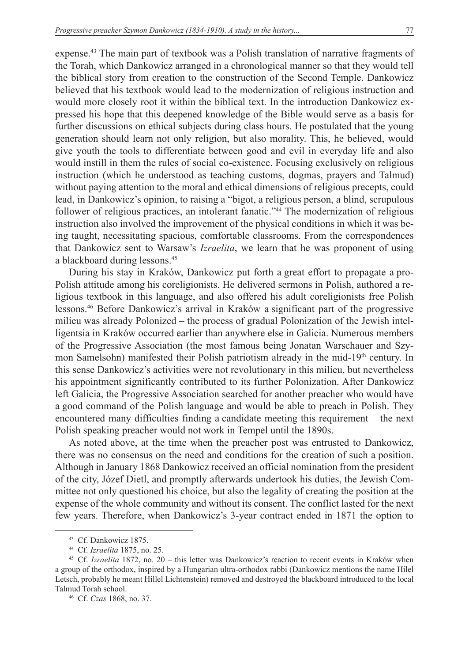expense.<sup>43</sup> The main part of textbook was a Polish translation of narrative fragments of the Torah, which Dankowicz arranged in a chronological manner so that they would tell the biblical story from creation to the construction of the Second Temple. Dankowicz believed that his textbook would lead to the modernization of religious instruction and would more closely root it within the biblical text. In the introduction Dankowicz expressed his hope that this deepened knowledge of the Bible would serve as a basis for further discussions on ethical subjects during class hours. He postulated that the young generation should learn not only religion, but also morality. This, he believed, would give youth the tools to differentiate between good and evil in everyday life and also would instill in them the rules of social co-existence. Focusing exclusively on religious instruction (which he understood as teaching customs, dogmas, prayers and Talmud) without paying attention to the moral and ethical dimensions of religious precepts, could lead, in Dankowicz's opinion, to raising a "bigot, a religious person, a blind, scrupulous follower of religious practices, an intolerant fanatic."<sup>44</sup> The modernization of religious instruction also involved the improvement of the physical conditions in which it was being taught, necessitating spacious, comfortable classrooms. From the correspondences that Dankowicz sent to Warsaw's *Izraelita*, we learn that he was proponent of using a blackboard during lessons.45

During his stay in Kraków, Dankowicz put forth a great effort to propagate a pro-Polish attitude among his coreligionists. He delivered sermons in Polish, authored a religious textbook in this language, and also offered his adult coreligionists free Polish lessons.46 Before Dankowicz's arrival in Kraków a significant part of the progressive milieu was already Polonized – the process of gradual Polonization of the Jewish intelligentsia in Kraków occurred earlier than anywhere else in Galicia. Numerous members of the Progressive Association (the most famous being Jonatan Warschauer and Szymon Samelsohn) manifested their Polish patriotism already in the mid-19<sup>th</sup> century. In this sense Dankowicz's activities were not revolutionary in this milieu, but nevertheless his appointment significantly contributed to its further Polonization. After Dankowicz left Galicia, the Progressive Association searched for another preacher who would have a good command of the Polish language and would be able to preach in Polish. They encountered many difficulties finding a candidate meeting this requirement – the next Polish speaking preacher would not work in Tempel until the 1890s.

As noted above, at the time when the preacher post was entrusted to Dankowicz, there was no consensus on the need and conditions for the creation of such a position. Although in January 1868 Dankowicz received an official nomination from the president of the city, Józef Dietl, and promptly afterwards undertook his duties, the Jewish Committee not only questioned his choice, but also the legality of creating the position at the expense of the whole community and without its consent. The conflict lasted for the next few years. Therefore, when Dankowicz's 3-year contract ended in 1871 the option to

<sup>43</sup> Cf. Dankowicz 1875.

<sup>44</sup> Cf. *Izraelita* 1875, no. 25.

<sup>45</sup> Cf. *Izraelita* 1872, no. 20 – this letter was Dankowicz's reaction to recent events in Kraków when a group of the orthodox, inspired by a Hungarian ultra-orthodox rabbi (Dankowicz mentions the name Hilel Letsch, probably he meant Hillel Lichtenstein) removed and destroyed the blackboard introduced to the local Talmud Torah school.

<sup>46</sup> Cf. *Czas* 1868, no. 37.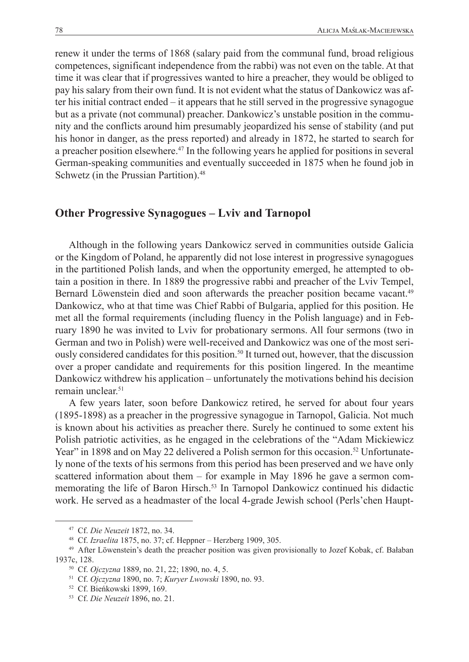renew it under the terms of 1868 (salary paid from the communal fund, broad religious competences, significant independence from the rabbi) was not even on the table. At that time it was clear that if progressives wanted to hire a preacher, they would be obliged to pay his salary from their own fund. It is not evident what the status of Dankowicz was after his initial contract ended – it appears that he still served in the progressive synagogue but as a private (not communal) preacher. Dankowicz's unstable position in the community and the conflicts around him presumably jeopardized his sense of stability (and put his honor in danger, as the press reported) and already in 1872, he started to search for a preacher position elsewhere.47 In the following years he applied for positions in several German-speaking communities and eventually succeeded in 1875 when he found job in Schwetz (in the Prussian Partition).<sup>48</sup>

### **Other Progressive Synagogues – Lviv and Tarnopol**

Although in the following years Dankowicz served in communities outside Galicia or the Kingdom of Poland, he apparently did not lose interest in progressive synagogues in the partitioned Polish lands, and when the opportunity emerged, he attempted to obtain a position in there. In 1889 the progressive rabbi and preacher of the Lviv Tempel, Bernard Löwenstein died and soon afterwards the preacher position became vacant.<sup>49</sup> Dankowicz, who at that time was Chief Rabbi of Bulgaria, applied for this position. He met all the formal requirements (including fluency in the Polish language) and in February 1890 he was invited to Lviv for probationary sermons. All four sermons (two in German and two in Polish) were well-received and Dankowicz was one of the most seriously considered candidates for this position.<sup>50</sup> It turned out, however, that the discussion over a proper candidate and requirements for this position lingered. In the meantime Dankowicz withdrew his application – unfortunately the motivations behind his decision remain unclear.<sup>51</sup>

A few years later, soon before Dankowicz retired, he served for about four years (1895-1898) as a preacher in the progressive synagogue in Tarnopol, Galicia. Not much is known about his activities as preacher there. Surely he continued to some extent his Polish patriotic activities, as he engaged in the celebrations of the "Adam Mickiewicz Year" in 1898 and on May 22 delivered a Polish sermon for this occasion.<sup>52</sup> Unfortunately none of the texts of his sermons from this period has been preserved and we have only scattered information about them – for example in May 1896 he gave a sermon commemorating the life of Baron Hirsch.<sup>53</sup> In Tarnopol Dankowicz continued his didactic work. He served as a headmaster of the local 4-grade Jewish school (Perls'chen Haupt-

<sup>47</sup> Cf. *Die Neuzeit* 1872, no. 34.

<sup>48</sup> Cf. *Izraelita* 1875, no. 37; cf. Heppner – Herzberg 1909, 305.

<sup>49</sup> After Löwenstein's death the preacher position was given provisionally to Jozef Kobak, cf. Bałaban 1937c, 128.

<sup>50</sup> Cf. *Ojczyzna* 1889, no. 21, 22; 1890, no. 4, 5.

<sup>51</sup> Cf. *Ojczyzna* 1890, no. 7; *Kuryer Lwowski* 1890, no. 93.

<sup>52</sup> Cf. Bieńkowski 1899, 169.

<sup>53</sup> Cf. *Die Neuzeit* 1896, no . 21.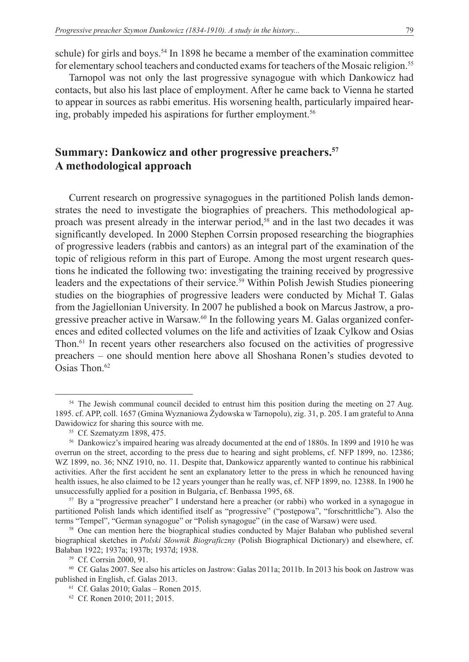schule) for girls and boys.<sup>54</sup> In 1898 he became a member of the examination committee for elementary school teachers and conducted exams for teachers of the Mosaic religion.<sup>55</sup>

Tarnopol was not only the last progressive synagogue with which Dankowicz had contacts, but also his last place of employment. After he came back to Vienna he started to appear in sources as rabbi emeritus. His worsening health, particularly impaired hearing, probably impeded his aspirations for further employment.<sup>56</sup>

## **Summary: Dankowicz and other progressive preachers.57 A methodological approach**

Current research on progressive synagogues in the partitioned Polish lands demonstrates the need to investigate the biographies of preachers. This methodological approach was present already in the interwar period,58 and in the last two decades it was significantly developed. In 2000 Stephen Corrsin proposed researching the biographies of progressive leaders (rabbis and cantors) as an integral part of the examination of the topic of religious reform in this part of Europe. Among the most urgent research questions he indicated the following two: investigating the training received by progressive leaders and the expectations of their service.<sup>59</sup> Within Polish Jewish Studies pioneering studies on the biographies of progressive leaders were conducted by Michał T. Galas from the Jagiellonian University. In 2007 he published a book on Marcus Jastrow, a progressive preacher active in Warsaw.<sup>60</sup> In the following years M. Galas organized conferences and edited collected volumes on the life and activities of Izaak Cylkow and Osias Thon.61 In recent years other researchers also focused on the activities of progressive preachers – one should mention here above all Shoshana Ronen's studies devoted to Osias Thon.<sup>62</sup>

<sup>&</sup>lt;sup>54</sup> The Jewish communal council decided to entrust him this position during the meeting on 27 Aug. 1895. cf. APP, coll. 1657 (Gmina Wyznaniowa Żydowska w Tarnopolu), zig. 31, p. 205. I am grateful to Anna Dawidowicz for sharing this source with me.

<sup>55</sup> Cf. Szematyzm 1898, 475.

<sup>56</sup> Dankowicz's impaired hearing was already documented at the end of 1880s. In 1899 and 1910 he was overrun on the street, according to the press due to hearing and sight problems, cf. NFP 1899, no. 12386; WZ 1899, no. 36; NNZ 1910, no. 11. Despite that, Dankowicz apparently wanted to continue his rabbinical activities. After the first accident he sent an explanatory letter to the press in which he renounced having health issues, he also claimed to be 12 years younger than he really was, cf. NFP 1899, no. 12388. In 1900 he unsuccessfully applied for a position in Bulgaria, cf. Benbassa 1995, 68.

<sup>57</sup> By a "progressive preacher" I understand here a preacher (or rabbi) who worked in a synagogue in partitioned Polish lands which identified itself as "progressive" ("postępowa", "forschrittliche"). Also the terms "Tempel", "German synagogue" or "Polish synagogue" (in the case of Warsaw) were used.

<sup>&</sup>lt;sup>58</sup> One can mention here the biographical studies conducted by Majer Bałaban who published several biographical sketches in *Polski Słownik Biograficzny* (Polish Biographical Dictionary) and elsewhere, cf. Bałaban 1922; 1937a; 1937b; 1937d; 1938.

<sup>59</sup> Cf. Corrsin 2000, 91.

<sup>&</sup>lt;sup>60</sup> Cf. Galas 2007. See also his articles on Jastrow: Galas 2011a; 2011b. In 2013 his book on Jastrow was published in English, cf. Galas 2013.

<sup>61</sup> Cf. Galas 2010; Galas – Ronen 2015.

<sup>62</sup> Cf. Ronen 2010; 2011; 2015.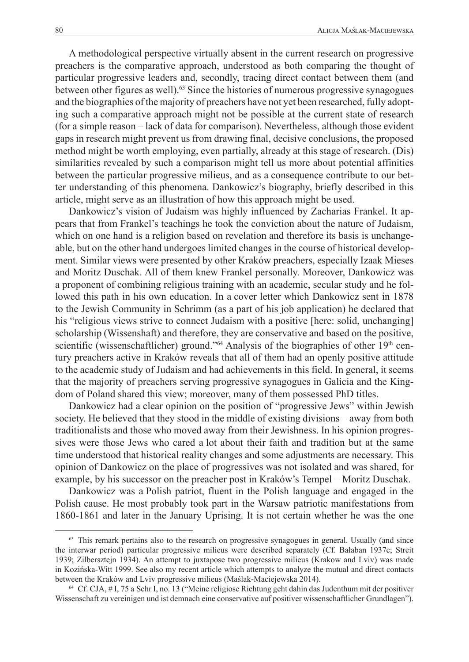A methodological perspective virtually absent in the current research on progressive preachers is the comparative approach, understood as both comparing the thought of particular progressive leaders and, secondly, tracing direct contact between them (and between other figures as well). $63$  Since the histories of numerous progressive synagogues and the biographies of the majority of preachers have not yet been researched, fully adopting such a comparative approach might not be possible at the current state of research (for a simple reason – lack of data for comparison). Nevertheless, although those evident gaps in research might prevent us from drawing final, decisive conclusions, the proposed method might be worth employing, even partially, already at this stage of research. (Dis) similarities revealed by such a comparison might tell us more about potential affinities between the particular progressive milieus, and as a consequence contribute to our better understanding of this phenomena. Dankowicz's biography, briefly described in this article, might serve as an illustration of how this approach might be used.

Dankowicz's vision of Judaism was highly influenced by Zacharias Frankel. It appears that from Frankel's teachings he took the conviction about the nature of Judaism, which on one hand is a religion based on revelation and therefore its basis is unchangeable, but on the other hand undergoes limited changes in the course of historical development. Similar views were presented by other Kraków preachers, especially Izaak Mieses and Moritz Duschak. All of them knew Frankel personally. Moreover, Dankowicz was a proponent of combining religious training with an academic, secular study and he followed this path in his own education. In a cover letter which Dankowicz sent in 1878 to the Jewish Community in Schrimm (as a part of his job application) he declared that his "religious views strive to connect Judaism with a positive [here: solid, unchanging] scholarship (Wissenshaft) and therefore, they are conservative and based on the positive, scientific (wissenschaftlicher) ground."<sup>64</sup> Analysis of the biographies of other  $19<sup>th</sup>$  century preachers active in Kraków reveals that all of them had an openly positive attitude to the academic study of Judaism and had achievements in this field. In general, it seems that the majority of preachers serving progressive synagogues in Galicia and the Kingdom of Poland shared this view; moreover, many of them possessed PhD titles.

Dankowicz had a clear opinion on the position of "progressive Jews" within Jewish society. He believed that they stood in the middle of existing divisions – away from both traditionalists and those who moved away from their Jewishness. In his opinion progressives were those Jews who cared a lot about their faith and tradition but at the same time understood that historical reality changes and some adjustments are necessary. This opinion of Dankowicz on the place of progressives was not isolated and was shared, for example, by his successor on the preacher post in Kraków's Tempel – Moritz Duschak.

Dankowicz was a Polish patriot, fluent in the Polish language and engaged in the Polish cause. He most probably took part in the Warsaw patriotic manifestations from 1860-1861 and later in the January Uprising. It is not certain whether he was the one

<sup>&</sup>lt;sup>63</sup> This remark pertains also to the research on progressive synagogues in general. Usually (and since the interwar period) particular progressive milieus were described separately (Cf. Bałaban 1937c; Streit 1939; Zilbersztejn 1934). An attempt to juxtapose two progressive milieus (Krakow and Lviv) was made in Kozińska-Witt 1999. See also my recent article which attempts to analyze the mutual and direct contacts between the Kraków and Lviv progressive milieus (Maślak-Maciejewska 2014).

<sup>64</sup> Cf. CJA, # I, 75 a Schr I, no. 13 ("Meine religiose Richtung geht dahin das Judenthum mit der positiver Wissenschaft zu vereinigen und ist demnach eine conservative auf positiver wissenschaftlicher Grundlagen").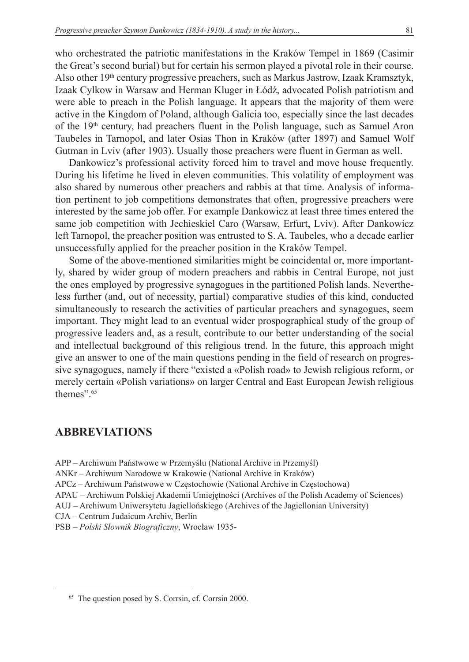who orchestrated the patriotic manifestations in the Kraków Tempel in 1869 (Casimir the Great's second burial) but for certain his sermon played a pivotal role in their course. Also other 19th century progressive preachers, such as Markus Jastrow, Izaak Kramsztyk, Izaak Cylkow in Warsaw and Herman Kluger in Łódź, advocated Polish patriotism and were able to preach in the Polish language. It appears that the majority of them were active in the Kingdom of Poland, although Galicia too, especially since the last decades of the 19<sup>th</sup> century, had preachers fluent in the Polish language, such as Samuel Aron Taubeles in Tarnopol, and later Osias Thon in Kraków (after 1897) and Samuel Wolf Gutman in Lviv (after 1903). Usually those preachers were fluent in German as well.

Dankowicz's professional activity forced him to travel and move house frequently. During his lifetime he lived in eleven communities. This volatility of employment was also shared by numerous other preachers and rabbis at that time. Analysis of information pertinent to job competitions demonstrates that often, progressive preachers were interested by the same job offer. For example Dankowicz at least three times entered the same job competition with Jechieskiel Caro (Warsaw, Erfurt, Lviv). After Dankowicz left Tarnopol, the preacher position was entrusted to S. A. Taubeles, who a decade earlier unsuccessfully applied for the preacher position in the Kraków Tempel.

Some of the above-mentioned similarities might be coincidental or, more importantly, shared by wider group of modern preachers and rabbis in Central Europe, not just the ones employed by progressive synagogues in the partitioned Polish lands. Nevertheless further (and, out of necessity, partial) comparative studies of this kind, conducted simultaneously to research the activities of particular preachers and synagogues, seem important. They might lead to an eventual wider prospographical study of the group of progressive leaders and, as a result, contribute to our better understanding of the social and intellectual background of this religious trend. In the future, this approach might give an answer to one of the main questions pending in the field of research on progressive synagogues, namely if there "existed a «Polish road» to Jewish religious reform, or merely certain «Polish variations» on larger Central and East European Jewish religious themes".<sup>65</sup>

## **ABBREVIATIONS**

- APP Archiwum Państwowe w Przemyślu (National Archive in Przemyśl)
- ANKr Archiwum Narodowe w Krakowie (National Archive in Kraków)
- APCz Archiwum Państwowe w Częstochowie (National Archive in Częstochowa)
- APAU Archiwum Polskiej Akademii Umiejętności (Archives of the Polish Academy of Sciences)
- AUJ Archiwum Uniwersytetu Jagiellońskiego (Archives of the Jagiellonian University)
- CJA Centrum Judaicum Archiv, Berlin
- PSB *Polski Słownik Biograficzny*, Wrocław 1935-

<sup>&</sup>lt;sup>65</sup> The question posed by S. Corrsin, cf. Corrsin 2000.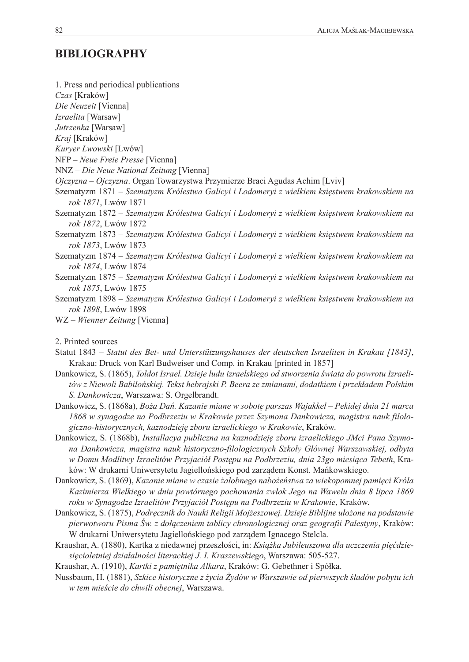## **BIBLIOGRAPHY**

1. Press and periodical publications *Czas* [Kraków] *Die Neuzeit* [Vienna] *Izraelita* [Warsaw] *Jutrzenka* [Warsaw] *Kraj* [Kraków] *Kuryer Lwowski* [Lwów] NFP – *Neue Freie Presse* [Vienna] NNZ – *Die Neue National Zeitung* [Vienna] *Ojczyzna* – *Ojczyzna*. Organ Towarzystwa Przymierze Braci Agudas Achim [Lviv] Szematyzm 1871 – *Szematyzm Królestwa Galicyi i Lodomeryi z wielkiem księstwem krakowskiem na rok 1871*, Lwów 1871 Szematyzm 1872 – *Szematyzm Królestwa Galicyi i Lodomeryi z wielkiem księstwem krakowskiem na rok 1872*, Lwów 1872 Szematyzm 1873 – *Szematyzm Królestwa Galicyi i Lodomeryi z wielkiem księstwem krakowskiem na rok 1873*, Lwów 1873 Szematyzm 1874 – *Szematyzm Królestwa Galicyi i Lodomeryi z wielkiem księstwem krakowskiem na rok 1874*, Lwów 1874 Szematyzm 1875 – *Szematyzm Królestwa Galicyi i Lodomeryi z wielkiem księstwem krakowskiem na rok 1875*, Lwów 1875 Szematyzm 1898 – *Szematyzm Królestwa Galicyi i Lodomeryi z wielkiem księstwem krakowskiem na rok 1898*, Lwów 1898 WZ – *Wienner Zeitung* [Vienna] 2. Printed sources

- Statut 1843 *Statut des Bet- und Unterstützungshauses der deutschen Israeliten in Krakau [1843]*, Krakau: Druck von Karl Budweiser und Comp. in Krakau [printed in 1857]
- Dankowicz, S. (1865), *Toldot Israel. Dzieje ludu izraelskiego od stworzenia świata do powrotu Izraelitów z Niewoli Babilońskiej. Tekst hebrajski P. Beera ze zmianami, dodatkiem i przekładem Polskim S. Dankowicza*, Warszawa: S. Orgelbrandt.
- Dankowicz, S. (1868a), *Boża Dań. Kazanie miane w sobotę parszas Wajakkel Pekidej dnia 21 marca 1868 w synagodze na Podbrzeziu w Krakowie przez Szymona Dankowicza, magistra nauk filologiczno-historycznych, kaznodzieję zboru izraelickiego w Krakowie*, Kraków.
- Dankowicz, S. (1868b), *Installacya publiczna na kaznodzieję zboru izraelickiego JMci Pana Szymona Dankowicza, magistra nauk historyczno-filologicznych Szkoły Głównej Warszawskiej, odbyta w Domu Modlitwy Izraelitów Przyjaciół Postępu na Podbrzeziu, dnia 23go miesiąca Tebeth*, Kraków: W drukarni Uniwersytetu Jagiellońskiego pod zarządem Konst. Mańkowskiego.
- Dankowicz, S. (1869), *Kazanie miane w czasie żałobnego nabożeństwa za wiekopomnej pamięci Króla Kazimierza Wielkiego w dniu powtórnego pochowania zwłok Jego na Wawelu dnia 8 lipca 1869 roku w Synagodze Izraelitów Przyjaciół Postępu na Podbrzeziu w Krakowie*, Kraków.
- Dankowicz, S. (1875), *Podręcznik do Nauki Religii Mojżeszowej. Dzieje Biblijne ułożone na podstawie pierwotworu Pisma Św. z dołączeniem tablicy chronologicznej oraz geografii Palestyny*, Kraków: W drukarni Uniwersytetu Jagiellońskiego pod zarządem Ignacego Stelcla.
- Kraushar, A. (1880), Kartka z niedawnej przeszłości, in: *Książka Jubileuszowa dla uczczenia pięćdziesięcioletniej działalności literackiej J. I. Kraszewskiego*, Warszawa: 505-527.

Kraushar, A. (1910), *Kartki z pamiętnika Alkara*, Kraków: G. Gebethner i Spółka.

Nussbaum, H. (1881), *Szkice historyczne z życia Żydów w Warszawie od pierwszych śladów pobytu ich w tem mieście do chwili obecnej*, Warszawa.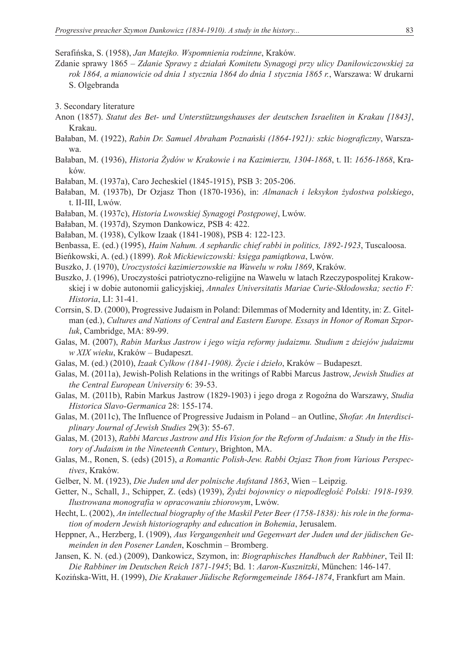Serafińska, S. (1958), *Jan Matejko. Wspomnienia rodzinne*, Kraków.

- Zdanie sprawy 1865 *Zdanie Sprawy z działań Komitetu Synagogi przy ulicy Daniłowiczowskiej za rok 1864, a mianowicie od dnia 1 stycznia 1864 do dnia 1 stycznia 1865 r.*, Warszawa: W drukarni S. Olgebranda
- 3. Secondary literature
- Anon (1857). *Statut des Bet- und Unterstützungshauses der deutschen Israeliten in Krakau [1843]*, Krakau.
- Bałaban, M. (1922), *Rabin Dr. Samuel Abraham Poznański (1864-1921): szkic biograficzny*, Warszawa.
- Bałaban, M. (1936), *Historia Żydów w Krakowie i na Kazimierzu, 1304-1868*, t. II: *1656-1868*, Kraków.
- Bałaban, M. (1937a), Caro Jecheskiel (1845-1915), PSB 3: 205-206.
- Bałaban, M. (1937b), Dr Ozjasz Thon (1870-1936), in: *Almanach i leksykon żydostwa polskiego*, t. II-III, Lwów.
- Bałaban, M. (1937c), *Historia Lwowskiej Synagogi Postępowej*, Lwów.
- Bałaban, M. (1937d), Szymon Dankowicz, PSB 4: 422.
- Bałaban, M. (1938), Cylkow Izaak (1841-1908), PSB 4: 122-123.
- Benbassa, E. (ed.) (1995), *Haim Nahum. A sephardic chief rabbi in politics, 1892-1923*, Tuscaloosa.
- Bieńkowski, A. (ed.) (1899). *Rok Mickiewiczowski: księga pamiątkowa*, Lwów.
- Buszko, J. (1970), *Uroczystości kazimierzowskie na Wawelu w roku 1869*, Kraków.
- Buszko, J. (1996), Uroczystości patriotyczno-religijne na Wawelu w latach Rzeczypospolitej Krakowskiej i w dobie autonomii galicyjskiej, *Annales Universitatis Mariae Curie-Skłodowska; sectio F: Historia*, LI: 31-41.
- Corrsin, S. D. (2000), Progressive Judaism in Poland: Dilemmas of Modernity and Identity, in: Z. Gitelman (ed.), *Cultures and Nations of Central and Eastern Europe. Essays in Honor of Roman Szporluk*, Cambridge, MA: 89-99.
- Galas, M. (2007), *Rabin Markus Jastrow i jego wizja reformy judaizmu. Studium z dziejów judaizmu w XIX wieku*, Kraków – Budapeszt.
- Galas, M. (ed.) (2010), *Izaak Cylkow (1841-1908). Życie i dzieło*, Kraków Budapeszt.
- Galas, M. (2011a), Jewish-Polish Relations in the writings of Rabbi Marcus Jastrow, *Jewish Studies at the Central European University* 6: 39-53.
- Galas, M. (2011b), Rabin Markus Jastrow (1829-1903) i jego droga z Rogoźna do Warszawy, *Studia Historica Slavo-Germanica* 28: 155-174.
- Galas, M. (2011c), The Influence of Progressive Judaism in Poland an Outline, *Shofar. An Interdisciplinary Journal of Jewish Studies* 29(3): 55-67.
- Galas, M. (2013), *Rabbi Marcus Jastrow and His Vision for the Reform of Judaism: a Study in the History of Judaism in the Nineteenth Century*, Brighton, MA.
- Galas, M., Ronen, S. (eds) (2015), *a Romantic Polish-Jew. Rabbi Ozjasz Thon from Various Perspectives*, Kraków.
- Gelber, N. M. (1923), *Die Juden und der polnische Aufstand 1863*, Wien Leipzig.
- Getter, N., Schall, J., Schipper, Z. (eds) (1939), *Żydzi bojownicy o niepodległość Polski: 1918-1939. Ilustrowana monografia w opracowaniu zbiorowym*, Lwów.
- Hecht, L. (2002), *An intellectual biography of the Maskil Peter Beer (1758-1838): his role in the formation of modern Jewish historiography and education in Bohemia*, Jerusalem.
- Heppner, A., Herzberg, I. (1909), *Aus Vergangenheit und Gegenwart der Juden und der jüdischen Gemeinden in den Posener Landen*, Koschmin – Bromberg.
- Jansen, K. N. (ed.) (2009), Dankowicz, Szymon, in: *Biographisches Handbuch der Rabbiner*, Teil II: *Die Rabbiner im Deutschen Reich 1871-1945*; Bd. 1: *Aaron-Kusznitzki*, München: 146-147.
- Kozińska-Witt, H. (1999), *Die Krakauer Jüdische Reformgemeinde 1864-1874*, Frankfurt am Main.